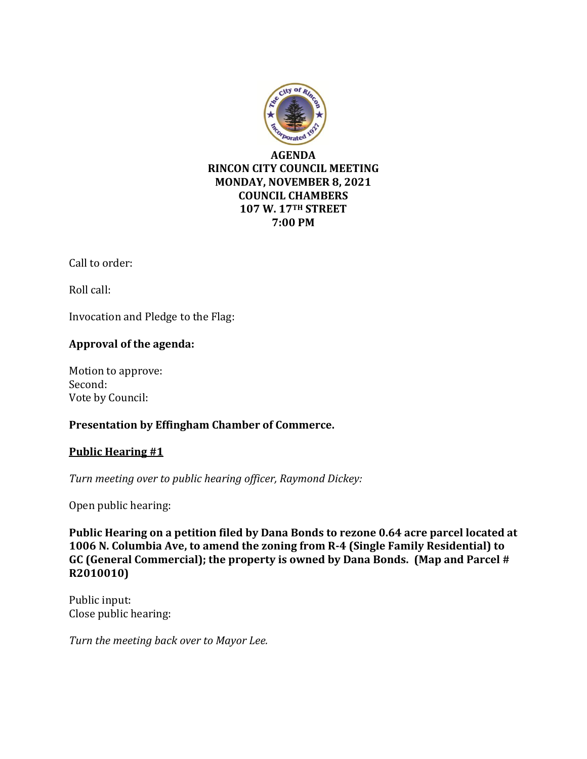

Call to order:

Roll call:

Invocation and Pledge to the Flag:

# **Approval of the agenda:**

Motion to approve: Second: Vote by Council:

## **Presentation by Effingham Chamber of Commerce.**

## **Public Hearing #1**

*Turn meeting over to public hearing officer, Raymond Dickey:*

Open public hearing:

**Public Hearing on a petition filed by Dana Bonds to rezone 0.64 acre parcel located at 1006 N. Columbia Ave, to amend the zoning from R-4 (Single Family Residential) to GC (General Commercial); the property is owned by Dana Bonds. (Map and Parcel # R2010010)**

Public input: Close public hearing:

*Turn the meeting back over to Mayor Lee.*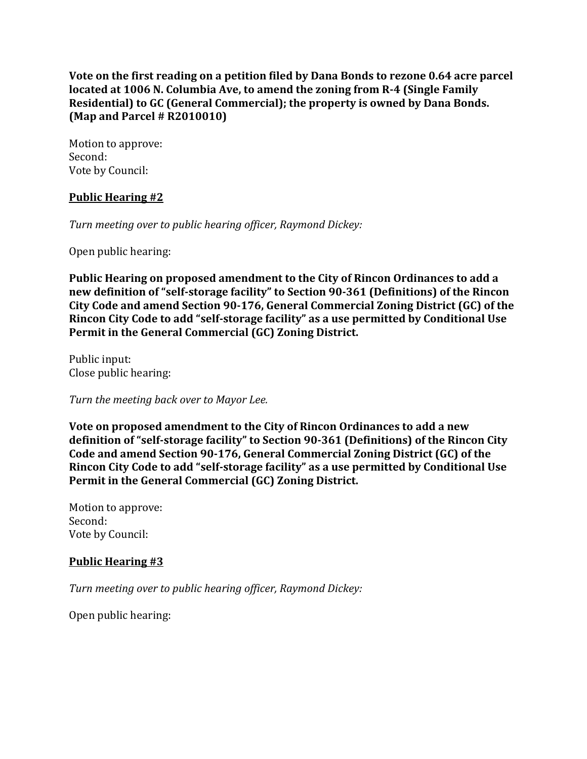**Vote on the first reading on a petition filed by Dana Bonds to rezone 0.64 acre parcel located at 1006 N. Columbia Ave, to amend the zoning from R-4 (Single Family Residential) to GC (General Commercial); the property is owned by Dana Bonds. (Map and Parcel # R2010010)**

Motion to approve: Second: Vote by Council:

#### **Public Hearing #2**

*Turn meeting over to public hearing officer, Raymond Dickey:*

Open public hearing:

**Public Hearing on proposed amendment to the City of Rincon Ordinances to add a new definition of "self-storage facility" to Section 90-361 (Definitions) of the Rincon City Code and amend Section 90-176, General Commercial Zoning District (GC) of the Rincon City Code to add "self-storage facility" as a use permitted by Conditional Use Permit in the General Commercial (GC) Zoning District.**

Public input: Close public hearing:

*Turn the meeting back over to Mayor Lee.*

**Vote on proposed amendment to the City of Rincon Ordinances to add a new definition of "self-storage facility" to Section 90-361 (Definitions) of the Rincon City Code and amend Section 90-176, General Commercial Zoning District (GC) of the Rincon City Code to add "self-storage facility" as a use permitted by Conditional Use Permit in the General Commercial (GC) Zoning District.**

Motion to approve: Second: Vote by Council:

#### **Public Hearing #3**

*Turn meeting over to public hearing officer, Raymond Dickey:*

Open public hearing: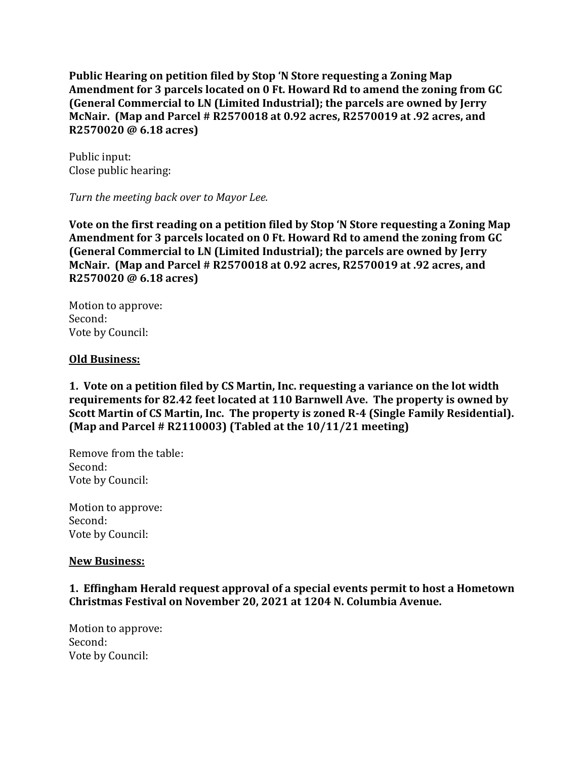**Public Hearing on petition filed by Stop 'N Store requesting a Zoning Map Amendment for 3 parcels located on 0 Ft. Howard Rd to amend the zoning from GC (General Commercial to LN (Limited Industrial); the parcels are owned by Jerry McNair. (Map and Parcel # R2570018 at 0.92 acres, R2570019 at .92 acres, and R2570020 @ 6.18 acres)**

Public input: Close public hearing:

*Turn the meeting back over to Mayor Lee.*

**Vote on the first reading on a petition filed by Stop 'N Store requesting a Zoning Map Amendment for 3 parcels located on 0 Ft. Howard Rd to amend the zoning from GC (General Commercial to LN (Limited Industrial); the parcels are owned by Jerry McNair. (Map and Parcel # R2570018 at 0.92 acres, R2570019 at .92 acres, and R2570020 @ 6.18 acres)**

Motion to approve: Second: Vote by Council:

#### **Old Business:**

**1. Vote on a petition filed by CS Martin, Inc. requesting a variance on the lot width requirements for 82.42 feet located at 110 Barnwell Ave. The property is owned by Scott Martin of CS Martin, Inc. The property is zoned R-4 (Single Family Residential). (Map and Parcel # R2110003) (Tabled at the 10/11/21 meeting)**

Remove from the table: Second: Vote by Council:

Motion to approve: Second: Vote by Council:

#### **New Business:**

## **1. Effingham Herald request approval of a special events permit to host a Hometown Christmas Festival on November 20, 2021 at 1204 N. Columbia Avenue.**

Motion to approve: Second: Vote by Council: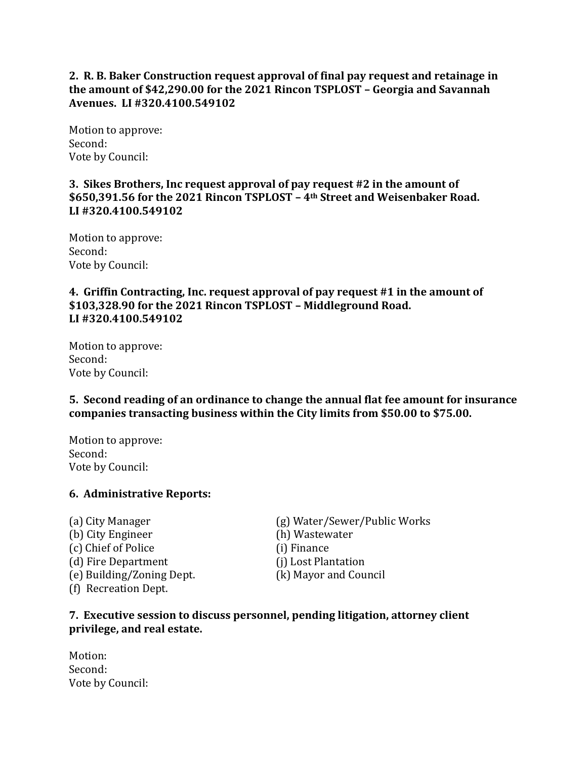**2. R. B. Baker Construction request approval of final pay request and retainage in the amount of \$42,290.00 for the 2021 Rincon TSPLOST – Georgia and Savannah Avenues. LI #320.4100.549102** 

Motion to approve: Second: Vote by Council:

## **3. Sikes Brothers, Inc request approval of pay request #2 in the amount of \$650,391.56 for the 2021 Rincon TSPLOST – 4th Street and Weisenbaker Road. LI #320.4100.549102**

Motion to approve: Second: Vote by Council:

## **4. Griffin Contracting, Inc. request approval of pay request #1 in the amount of \$103,328.90 for the 2021 Rincon TSPLOST – Middleground Road. LI #320.4100.549102**

Motion to approve: Second: Vote by Council:

## **5. Second reading of an ordinance to change the annual flat fee amount for insurance companies transacting business within the City limits from \$50.00 to \$75.00.**

Motion to approve: Second: Vote by Council:

## **6. Administrative Reports:**

(b) City Engineer (h) Wastewater (c) Chief of Police (i) Finance (d) Fire Department (i) Lost Plantation (e) Building/Zoning Dept. (k) Mayor and Council (f) Recreation Dept.

(a) City Manager (g) Water/Sewer/Public Works

#### **7. Executive session to discuss personnel, pending litigation, attorney client privilege, and real estate.**

Motion: Second: Vote by Council: